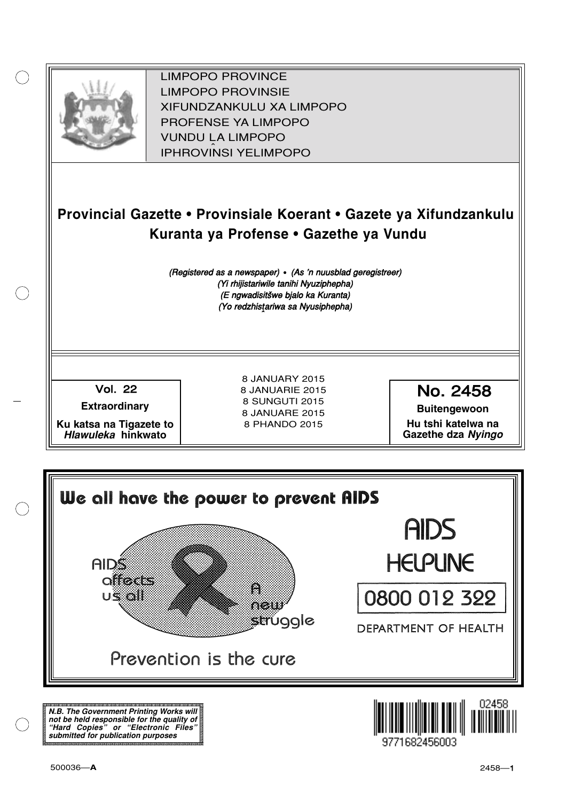

XIFUNDZANKULU XA LIMPOPO<br>PROFENCE XA LIMPORO PROFENSE YA LIMPOPO<br>WILDOLLA LIMPORO SOUTH A LIMPOPO<br>A LIPHROVINSI YELIMPOPO LIMPOPO PROVINCE LIMPOPO PROVINSIE IPHROVINSI YELIMPOPO

# **Provincial Gazette • Provinsiale Koerant • Gazete ya Xifundzankulu Kuranta ya Profense • Gazethe ya Vundu**

(Registered as a newspaper) • (As 'n nuusblad geregistreer) (Yi rhijistariwile tanihi Nyuziphepha) (E ngwadisitšwe bjalo ka Kuranta) (Yo redzhistariwa sa Nyusiphepha)

Vol.- 22

**Extraordinary**

**Ku katsa na Tigazete to Hlawuleka hinkwato**

8 JANUARY 2015 8 JANUARIE 2015 8 SUNGUTI 2015 8 JANUARE 2015 8 PHANDO 2015

No. 2458

**Buitengewoon Hu tshi katelwa na Gazethe dza Nyingo**



**N.B. The Government Printing Works will not be held responsible for the quality of "Hard Copies" or "Electronic Files" submitted for publication purposes**